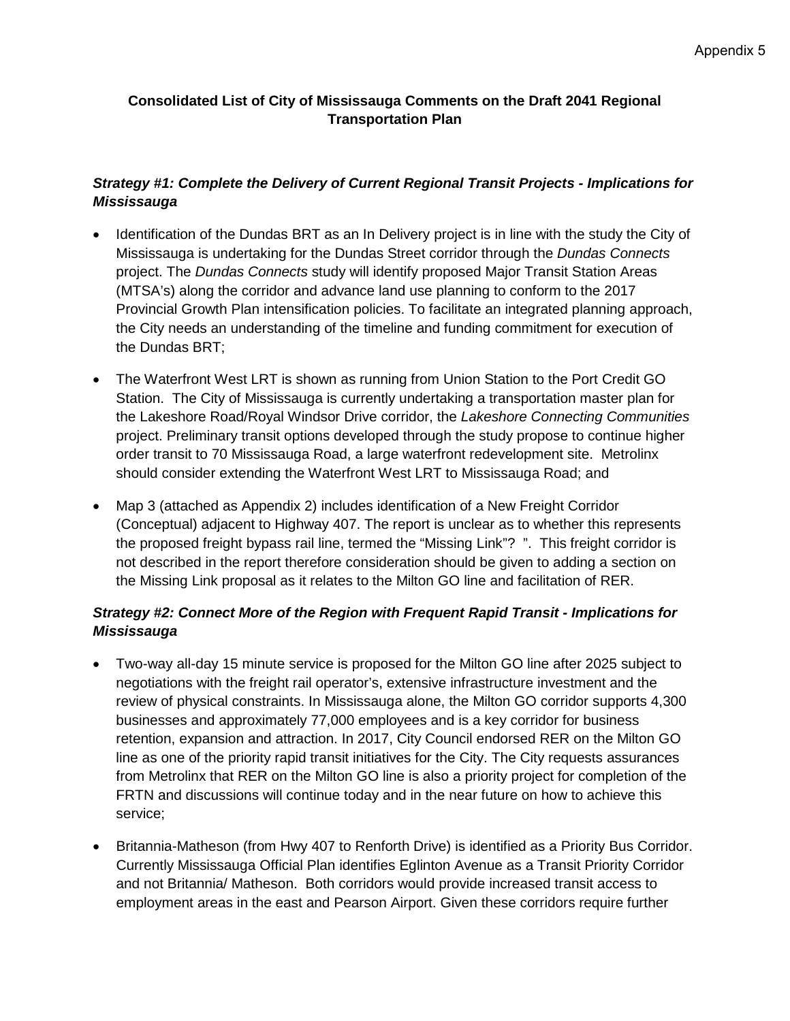## **Consolidated List of City of Mississauga Comments on the Draft 2041 Regional Transportation Plan**

## *Strategy #1: Complete the Delivery of Current Regional Transit Projects - Implications for Mississauga*

- Identification of the Dundas BRT as an In Delivery project is in line with the study the City of Mississauga is undertaking for the Dundas Street corridor through the *Dundas Connects* project. The *Dundas Connects* study will identify proposed Major Transit Station Areas (MTSA's) along the corridor and advance land use planning to conform to the 2017 Provincial Growth Plan intensification policies. To facilitate an integrated planning approach, the City needs an understanding of the timeline and funding commitment for execution of the Dundas BRT;
- The Waterfront West LRT is shown as running from Union Station to the Port Credit GO Station. The City of Mississauga is currently undertaking a transportation master plan for the Lakeshore Road/Royal Windsor Drive corridor, the *Lakeshore Connecting Communities* project. Preliminary transit options developed through the study propose to continue higher order transit to 70 Mississauga Road, a large waterfront redevelopment site. Metrolinx should consider extending the Waterfront West LRT to Mississauga Road; and
- Map 3 (attached as Appendix 2) includes identification of a New Freight Corridor (Conceptual) adjacent to Highway 407. The report is unclear as to whether this represents the proposed freight bypass rail line, termed the "Missing Link"? ". This freight corridor is not described in the report therefore consideration should be given to adding a section on the Missing Link proposal as it relates to the Milton GO line and facilitation of RER.

### *Strategy #2: Connect More of the Region with Frequent Rapid Transit - Implications for Mississauga*

- Two-way all-day 15 minute service is proposed for the Milton GO line after 2025 subject to negotiations with the freight rail operator's, extensive infrastructure investment and the review of physical constraints. In Mississauga alone, the Milton GO corridor supports 4,300 businesses and approximately 77,000 employees and is a key corridor for business retention, expansion and attraction. In 2017, City Council endorsed RER on the Milton GO line as one of the priority rapid transit initiatives for the City. The City requests assurances from Metrolinx that RER on the Milton GO line is also a priority project for completion of the FRTN and discussions will continue today and in the near future on how to achieve this service;
- Britannia-Matheson (from Hwy 407 to Renforth Drive) is identified as a Priority Bus Corridor. Currently Mississauga Official Plan identifies Eglinton Avenue as a Transit Priority Corridor and not Britannia/ Matheson. Both corridors would provide increased transit access to employment areas in the east and Pearson Airport. Given these corridors require further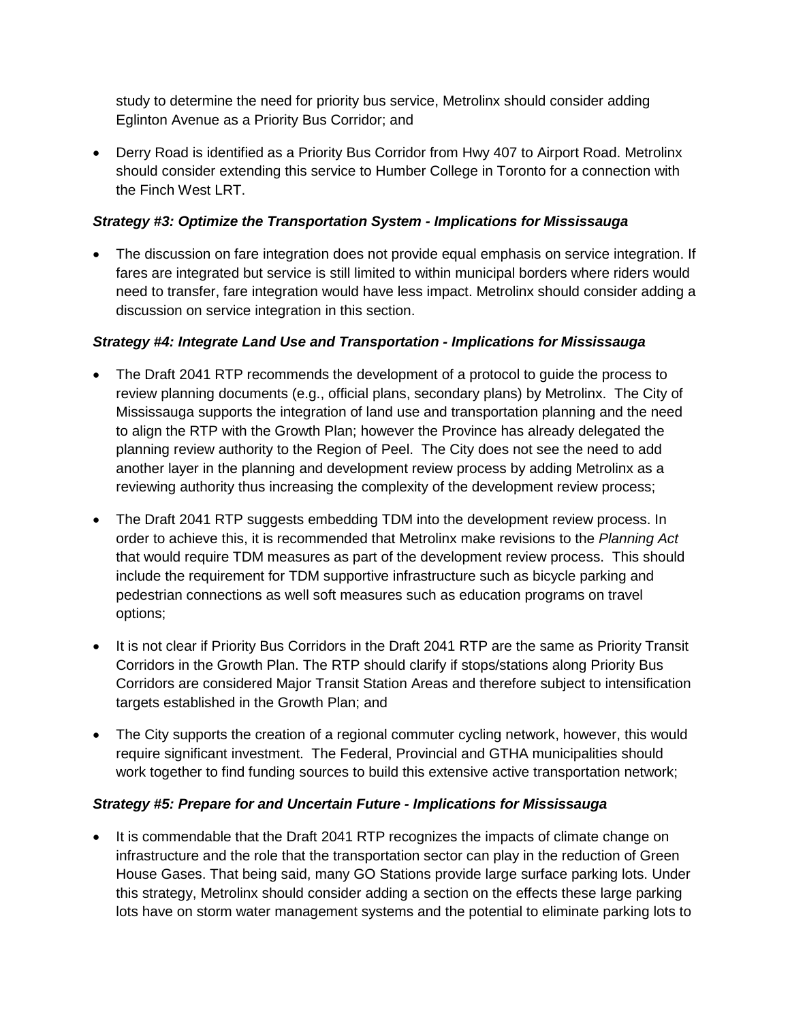study to determine the need for priority bus service, Metrolinx should consider adding Eglinton Avenue as a Priority Bus Corridor; and

• Derry Road is identified as a Priority Bus Corridor from Hwy 407 to Airport Road. Metrolinx should consider extending this service to Humber College in Toronto for a connection with the Finch West LRT.

#### *Strategy #3: Optimize the Transportation System - Implications for Mississauga*

• The discussion on fare integration does not provide equal emphasis on service integration. If fares are integrated but service is still limited to within municipal borders where riders would need to transfer, fare integration would have less impact. Metrolinx should consider adding a discussion on service integration in this section.

### *Strategy #4: Integrate Land Use and Transportation - Implications for Mississauga*

- The Draft 2041 RTP recommends the development of a protocol to quide the process to review planning documents (e.g., official plans, secondary plans) by Metrolinx. The City of Mississauga supports the integration of land use and transportation planning and the need to align the RTP with the Growth Plan; however the Province has already delegated the planning review authority to the Region of Peel. The City does not see the need to add another layer in the planning and development review process by adding Metrolinx as a reviewing authority thus increasing the complexity of the development review process;
- The Draft 2041 RTP suggests embedding TDM into the development review process. In order to achieve this, it is recommended that Metrolinx make revisions to the *Planning Act* that would require TDM measures as part of the development review process. This should include the requirement for TDM supportive infrastructure such as bicycle parking and pedestrian connections as well soft measures such as education programs on travel options;
- It is not clear if Priority Bus Corridors in the Draft 2041 RTP are the same as Priority Transit Corridors in the Growth Plan. The RTP should clarify if stops/stations along Priority Bus Corridors are considered Major Transit Station Areas and therefore subject to intensification targets established in the Growth Plan; and
- The City supports the creation of a regional commuter cycling network, however, this would require significant investment. The Federal, Provincial and GTHA municipalities should work together to find funding sources to build this extensive active transportation network;

# *Strategy #5: Prepare for and Uncertain Future - Implications for Mississauga*

• It is commendable that the Draft 2041 RTP recognizes the impacts of climate change on infrastructure and the role that the transportation sector can play in the reduction of Green House Gases. That being said, many GO Stations provide large surface parking lots. Under this strategy, Metrolinx should consider adding a section on the effects these large parking lots have on storm water management systems and the potential to eliminate parking lots to